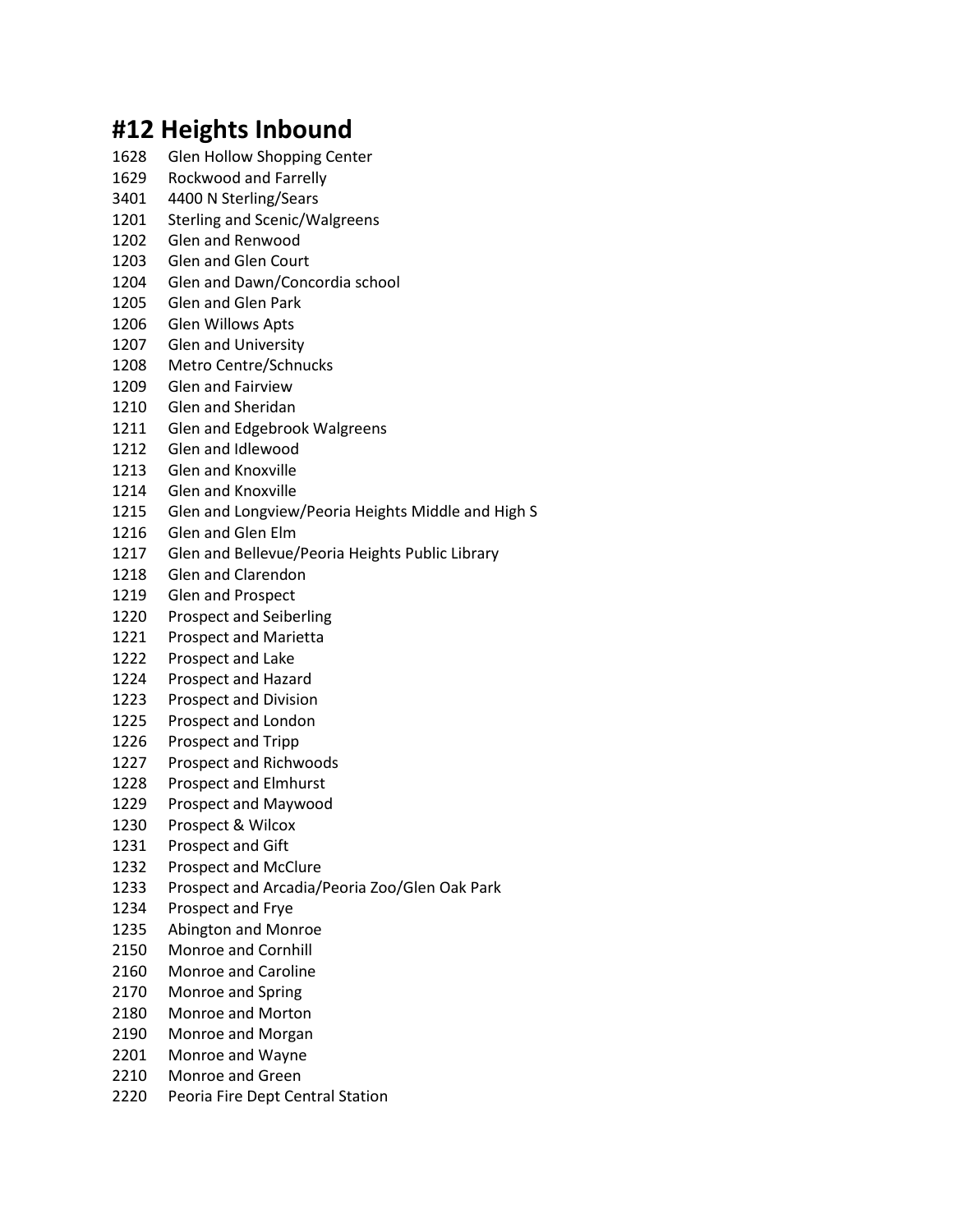## **#12 Heights Inbound**

- Glen Hollow Shopping Center
- Rockwood and Farrelly
- 4400 N Sterling/Sears
- Sterling and Scenic/Walgreens
- Glen and Renwood
- Glen and Glen Court
- Glen and Dawn/Concordia school
- Glen and Glen Park
- Glen Willows Apts
- Glen and University
- Metro Centre/Schnucks
- Glen and Fairview
- Glen and Sheridan
- Glen and Edgebrook Walgreens
- Glen and Idlewood
- Glen and Knoxville
- Glen and Knoxville
- Glen and Longview/Peoria Heights Middle and High S
- Glen and Glen Elm
- Glen and Bellevue/Peoria Heights Public Library
- Glen and Clarendon
- Glen and Prospect
- Prospect and Seiberling
- Prospect and Marietta
- Prospect and Lake
- Prospect and Hazard
- Prospect and Division
- Prospect and London
- Prospect and Tripp
- Prospect and Richwoods
- Prospect and Elmhurst
- Prospect and Maywood
- Prospect & Wilcox
- Prospect and Gift
- Prospect and McClure
- Prospect and Arcadia/Peoria Zoo/Glen Oak Park
- Prospect and Frye
- Abington and Monroe
- Monroe and Cornhill
- Monroe and Caroline
- Monroe and Spring
- Monroe and Morton
- Monroe and Morgan
- Monroe and Wayne
- Monroe and Green
- Peoria Fire Dept Central Station